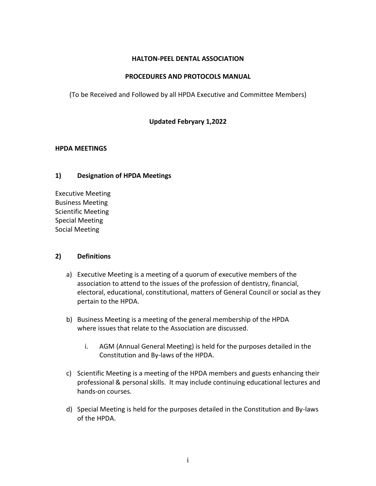### **HALTON-PEEL DENTAL ASSOCIATION**

### **PROCEDURES AND PROTOCOLS MANUAL**

(To be Received and Followed by all HPDA Executive and Committee Members)

## **Updated Febryary 1,2022**

### **HPDA MEETINGS**

### **1) Designation of HPDA Meetings**

Executive Meeting Business Meeting Scientific Meeting Special Meeting Social Meeting

### **2) Definitions**

- a) Executive Meeting is a meeting of a quorum of executive members of the association to attend to the issues of the profession of dentistry, financial, electoral, educational, constitutional, matters of General Council or social as they pertain to the HPDA.
- b) Business Meeting is a meeting of the general membership of the HPDA where issues that relate to the Association are discussed.
	- i. AGM (Annual General Meeting) is held for the purposes detailed in the Constitution and By-laws of the HPDA.
- c) Scientific Meeting is a meeting of the HPDA members and guests enhancing their professional & personal skills. It may include continuing educational lectures and hands-on courses.
- d) Special Meeting is held for the purposes detailed in the Constitution and By-laws of the HPDA.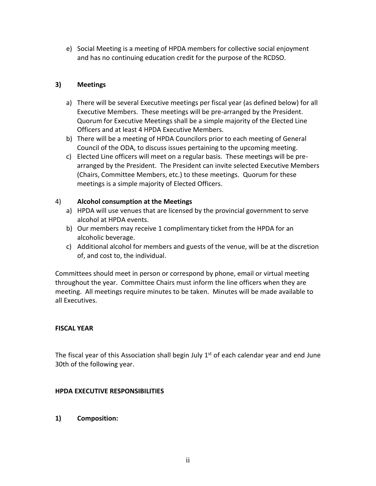e) Social Meeting is a meeting of HPDA members for collective social enjoyment and has no continuing education credit for the purpose of the RCDSO.

## **3) Meetings**

- a) There will be several Executive meetings per fiscal year (as defined below) for all Executive Members. These meetings will be pre-arranged by the President. Quorum for Executive Meetings shall be a simple majority of the Elected Line Officers and at least 4 HPDA Executive Members.
- b) There will be a meeting of HPDA Councilors prior to each meeting of General Council of the ODA, to discuss issues pertaining to the upcoming meeting.
- c) Elected Line officers will meet on a regular basis. These meetings will be prearranged by the President. The President can invite selected Executive Members (Chairs, Committee Members, etc.) to these meetings. Quorum for these meetings is a simple majority of Elected Officers.

## 4) **Alcohol consumption at the Meetings**

- a) HPDA will use venues that are licensed by the provincial government to serve alcohol at HPDA events.
- b) Our members may receive 1 complimentary ticket from the HPDA for an alcoholic beverage.
- c) Additional alcohol for members and guests of the venue, will be at the discretion of, and cost to, the individual.

Committees should meet in person or correspond by phone, email or virtual meeting throughout the year. Committee Chairs must inform the line officers when they are meeting. All meetings require minutes to be taken. Minutes will be made available to all Executives.

### **FISCAL YEAR**

The fiscal year of this Association shall begin July 1<sup>st</sup> of each calendar year and end June 30th of the following year.

## **HPDA EXECUTIVE RESPONSIBILITIES**

**1) Composition:**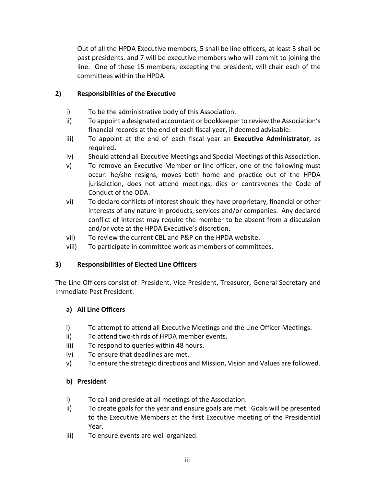Out of all the HPDA Executive members, 5 shall be line officers, at least 3 shall be past presidents, and 7 will be executive members who will commit to joining the line. One of these 15 members, excepting the president, will chair each of the committees within the HPDA.

## **2) Responsibilities of the Executive**

- i) To be the administrative body of this Association.
- ii) To appoint a designated accountant or bookkeeper to review the Association's financial records at the end of each fiscal year, if deemed advisable.
- iii) To appoint at the end of each fiscal year an **Executive Administrator**, as required**.**
- iv) Should attend all Executive Meetings and Special Meetings of this Association.
- v) To remove an Executive Member or line officer, one of the following must occur: he/she resigns, moves both home and practice out of the HPDA jurisdiction, does not attend meetings, dies or contravenes the Code of Conduct of the ODA.
- vi) To declare conflicts of interest should they have proprietary, financial or other interests of any nature in products, services and/or companies. Any declared conflict of interest may require the member to be absent from a discussion and/or vote at the HPDA Executive's discretion.
- vii) To review the current CBL and P&P on the HPDA website.
- viii) To participate in committee work as members of committees.

## **3) Responsibilities of Elected Line Officers**

The Line Officers consist of: President, Vice President, Treasurer, General Secretary and Immediate Past President.

## **a) All Line Officers**

- i) To attempt to attend all Executive Meetings and the Line Officer Meetings.
- ii) To attend two-thirds of HPDA member events.
- iii) To respond to queries within 48 hours.
- iv) To ensure that deadlines are met.
- v) To ensure the strategic directions and Mission, Vision and Values are followed.

# **b) President**

- i) To call and preside at all meetings of the Association.
- ii) To create goals for the year and ensure goals are met. Goals will be presented to the Executive Members at the first Executive meeting of the Presidential Year.
- iii) To ensure events are well organized.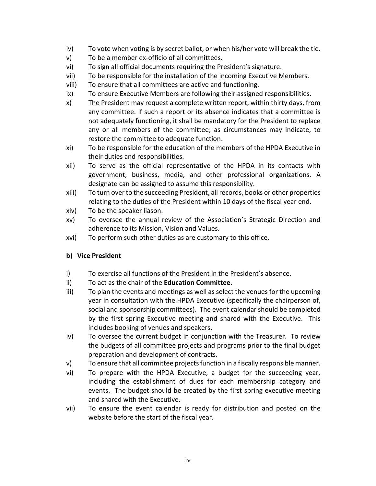- iv) To vote when voting is by secret ballot, or when his/her vote will break the tie.
- v) To be a member ex-officio of all committees.
- vi) To sign all official documents requiring the President's signature.
- vii) To be responsible for the installation of the incoming Executive Members.
- viii) To ensure that all committees are active and functioning.
- ix) To ensure Executive Members are following their assigned responsibilities.
- x) The President may request a complete written report, within thirty days, from any committee. If such a report or its absence indicates that a committee is not adequately functioning, it shall be mandatory for the President to replace any or all members of the committee; as circumstances may indicate, to restore the committee to adequate function.
- xi) To be responsible for the education of the members of the HPDA Executive in their duties and responsibilities.
- xii) To serve as the official representative of the HPDA in its contacts with government, business, media, and other professional organizations. A designate can be assigned to assume this responsibility.
- xiii) To turn over to the succeeding President, all records, books or other properties relating to the duties of the President within 10 days of the fiscal year end.
- xiv) To be the speaker liason.
- xv) To oversee the annual review of the Association's Strategic Direction and adherence to its Mission, Vision and Values.
- xvi) To perform such other duties as are customary to this office.

## **b) Vice President**

- i) To exercise all functions of the President in the President's absence.
- ii) To act as the chair of the **Education Committee.**
- iii) To plan the events and meetings as well as select the venues for the upcoming year in consultation with the HPDA Executive (specifically the chairperson of, social and sponsorship committees). The event calendar should be completed by the first spring Executive meeting and shared with the Executive. This includes booking of venues and speakers.
- iv) To oversee the current budget in conjunction with the Treasurer. To review the budgets of all committee projects and programs prior to the final budget preparation and development of contracts.
- v) To ensure that all committee projects function in a fiscally responsible manner.
- vi) To prepare with the HPDA Executive, a budget for the succeeding year, including the establishment of dues for each membership category and events. The budget should be created by the first spring executive meeting and shared with the Executive.
- vii) To ensure the event calendar is ready for distribution and posted on the website before the start of the fiscal year.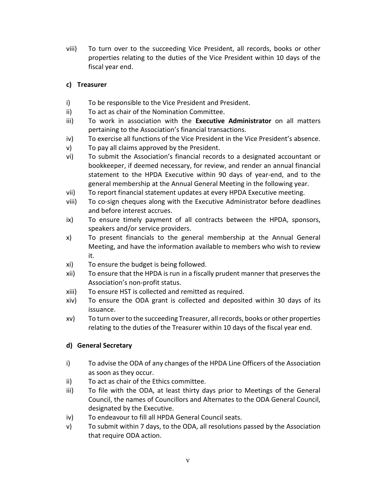viii) To turn over to the succeeding Vice President, all records, books or other properties relating to the duties of the Vice President within 10 days of the fiscal year end.

# **c) Treasurer**

- i) To be responsible to the Vice President and President.
- ii) To act as chair of the Nomination Committee.
- iii) To work in association with the **Executive Administrator** on all matters pertaining to the Association's financial transactions.
- iv) To exercise all functions of the Vice President in the Vice President's absence.
- v) To pay all claims approved by the President.
- vi) To submit the Association's financial records to a designated accountant or bookkeeper, if deemed necessary, for review, and render an annual financial statement to the HPDA Executive within 90 days of year-end, and to the general membership at the Annual General Meeting in the following year.
- vii) To report financial statement updates at every HPDA Executive meeting.
- viii) To co-sign cheques along with the Executive Administrator before deadlines and before interest accrues.
- ix) To ensure timely payment of all contracts between the HPDA, sponsors, speakers and/or service providers.
- x) To present financials to the general membership at the Annual General Meeting, and have the information available to members who wish to review it.
- xi) To ensure the budget is being followed.
- xii) To ensure that the HPDA is run in a fiscally prudent manner that preserves the Association's non-profit status.
- xiii) To ensure HST is collected and remitted as required.
- xiv) To ensure the ODA grant is collected and deposited within 30 days of its issuance.
- xv) To turn over to the succeeding Treasurer, all records, books or other properties relating to the duties of the Treasurer within 10 days of the fiscal year end.

## **d) General Secretary**

- i) To advise the ODA of any changes of the HPDA Line Officers of the Association as soon as they occur.
- ii) To act as chair of the Ethics committee.
- iii) To file with the ODA, at least thirty days prior to Meetings of the General Council, the names of Councillors and Alternates to the ODA General Council, designated by the Executive.
- iv) To endeavour to fill all HPDA General Council seats.
- v) To submit within 7 days, to the ODA, all resolutions passed by the Association that require ODA action.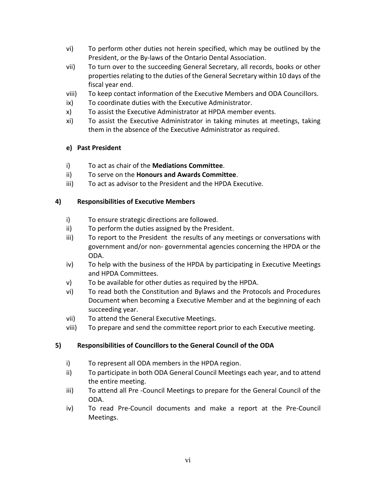- vi) To perform other duties not herein specified, which may be outlined by the President, or the By-laws of the Ontario Dental Association.
- vii) To turn over to the succeeding General Secretary, all records, books or other properties relating to the duties of the General Secretary within 10 days of the fiscal year end.
- viii) To keep contact information of the Executive Members and ODA Councillors.
- ix) To coordinate duties with the Executive Administrator.
- x) To assist the Executive Administrator at HPDA member events.
- xi) To assist the Executive Administrator in taking minutes at meetings, taking them in the absence of the Executive Administrator as required.

## **e) Past President**

- i) To act as chair of the **Mediations Committee**.
- ii) To serve on the **Honours and Awards Committee**.
- iii) To act as advisor to the President and the HPDA Executive.

## **4) Responsibilities of Executive Members**

- i) To ensure strategic directions are followed.
- ii) To perform the duties assigned by the President.
- iii) To report to the President the results of any meetings or conversations with government and/or non- governmental agencies concerning the HPDA or the ODA.
- iv) To help with the business of the HPDA by participating in Executive Meetings and HPDA Committees.
- v) To be available for other duties as required by the HPDA.
- vi) To read both the Constitution and Bylaws and the Protocols and Procedures Document when becoming a Executive Member and at the beginning of each succeeding year.
- vii) To attend the General Executive Meetings.
- viii) To prepare and send the committee report prior to each Executive meeting.

## **5) Responsibilities of Councillors to the General Council of the ODA**

- i) To represent all ODA members in the HPDA region.
- ii) To participate in both ODA General Council Meetings each year, and to attend the entire meeting.
- iii) To attend all Pre -Council Meetings to prepare for the General Council of the ODA.
- iv) To read Pre-Council documents and make a report at the Pre-Council Meetings.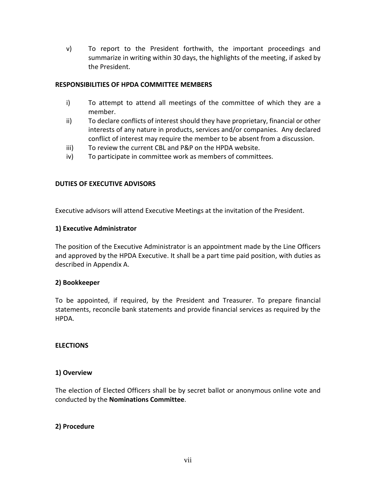v) To report to the President forthwith, the important proceedings and summarize in writing within 30 days, the highlights of the meeting, if asked by the President.

### **RESPONSIBILITIES OF HPDA COMMITTEE MEMBERS**

- i) To attempt to attend all meetings of the committee of which they are a member.
- ii) To declare conflicts of interest should they have proprietary, financial or other interests of any nature in products, services and/or companies. Any declared conflict of interest may require the member to be absent from a discussion.
- iii) To review the current CBL and P&P on the HPDA website.
- iv) To participate in committee work as members of committees.

### **DUTIES OF EXECUTIVE ADVISORS**

Executive advisors will attend Executive Meetings at the invitation of the President.

### **1) Executive Administrator**

The position of the Executive Administrator is an appointment made by the Line Officers and approved by the HPDA Executive. It shall be a part time paid position, with duties as described in Appendix A.

### **2) Bookkeeper**

To be appointed, if required, by the President and Treasurer. To prepare financial statements, reconcile bank statements and provide financial services as required by the HPDA.

### **ELECTIONS**

### **1) Overview**

The election of Elected Officers shall be by secret ballot or anonymous online vote and conducted by the **Nominations Committee**.

### **2) Procedure**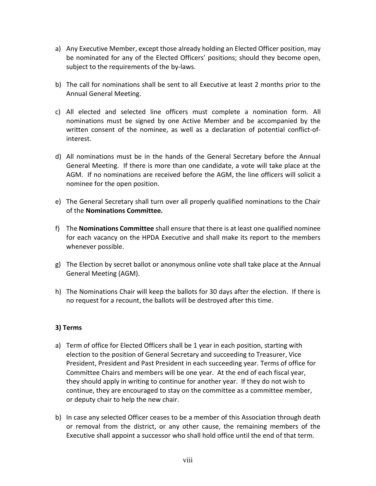- a) Any Executive Member, except those already holding an Elected Officer position, may be nominated for any of the Elected Officers' positions; should they become open, subject to the requirements of the by-laws.
- b) The call for nominations shall be sent to all Executive at least 2 months prior to the Annual General Meeting.
- c) All elected and selected line officers must complete a nomination form. All nominations must be signed by one Active Member and be accompanied by the written consent of the nominee, as well as a declaration of potential conflict-ofinterest.
- d) All nominations must be in the hands of the General Secretary before the Annual General Meeting. If there is more than one candidate, a vote will take place at the AGM. If no nominations are received before the AGM, the line officers will solicit a nominee for the open position.
- e) The General Secretary shall turn over all properly qualified nominations to the Chair of the **Nominations Committee.**
- f) The **Nominations Committee** shall ensure that there is at least one qualified nominee for each vacancy on the HPDA Executive and shall make its report to the members whenever possible.
- g) The Election by secret ballot or anonymous online vote shall take place at the Annual General Meeting (AGM).
- h) The Nominations Chair will keep the ballots for 30 days after the election. If there is no request for a recount, the ballots will be destroyed after this time.

## **3) Terms**

- a) Term of office for Elected Officers shall be 1 year in each position, starting with election to the position of General Secretary and succeeding to Treasurer, Vice President, President and Past President in each succeeding year. Terms of office for Committee Chairs and members will be one year. At the end of each fiscal year, they should apply in writing to continue for another year. If they do not wish to continue, they are encouraged to stay on the committee as a committee member, or deputy chair to help the new chair.
- b) In case any selected Officer ceases to be a member of this Association through death or removal from the district, or any other cause, the remaining members of the Executive shall appoint a successor who shall hold office until the end of that term.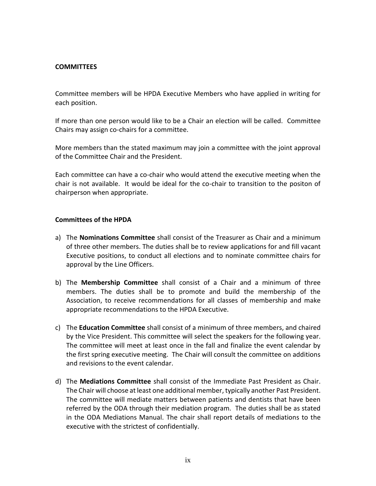#### **COMMITTEES**

Committee members will be HPDA Executive Members who have applied in writing for each position.

If more than one person would like to be a Chair an election will be called. Committee Chairs may assign co-chairs for a committee.

More members than the stated maximum may join a committee with the joint approval of the Committee Chair and the President.

Each committee can have a co-chair who would attend the executive meeting when the chair is not available. It would be ideal for the co-chair to transition to the positon of chairperson when appropriate.

#### **Committees of the HPDA**

- a) The **Nominations Committee** shall consist of the Treasurer as Chair and a minimum of three other members. The duties shall be to review applications for and fill vacant Executive positions, to conduct all elections and to nominate committee chairs for approval by the Line Officers.
- b) The **Membership Committee** shall consist of a Chair and a minimum of three members. The duties shall be to promote and build the membership of the Association, to receive recommendations for all classes of membership and make appropriate recommendations to the HPDA Executive.
- c) The **Education Committee** shall consist of a minimum of three members, and chaired by the Vice President. This committee will select the speakers for the following year. The committee will meet at least once in the fall and finalize the event calendar by the first spring executive meeting. The Chair will consult the committee on additions and revisions to the event calendar.
- d) The **Mediations Committee** shall consist of the Immediate Past President as Chair. The Chair will choose at least one additional member, typically another Past President. The committee will mediate matters between patients and dentists that have been referred by the ODA through their mediation program. The duties shall be as stated in the ODA Mediations Manual. The chair shall report details of mediations to the executive with the strictest of confidentially.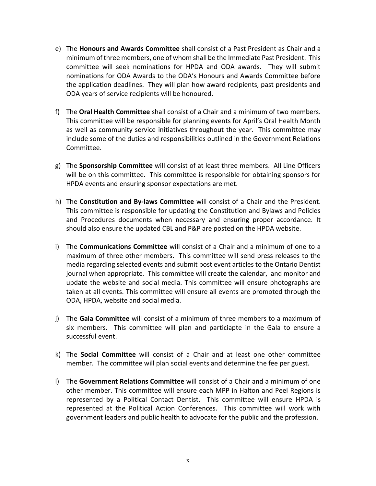- e) The **Honours and Awards Committee** shall consist of a Past President as Chair and a minimum of three members, one of whom shall be the Immediate Past President. This committee will seek nominations for HPDA and ODA awards. They will submit nominations for ODA Awards to the ODA's Honours and Awards Committee before the application deadlines. They will plan how award recipients, past presidents and ODA years of service recipients will be honoured.
- f) The **Oral Health Committee** shall consist of a Chair and a minimum of two members. This committee will be responsible for planning events for April's Oral Health Month as well as community service initiatives throughout the year. This committee may include some of the duties and responsibilities outlined in the Government Relations Committee.
- g) The **Sponsorship Committee** will consist of at least three members. All Line Officers will be on this committee. This committee is responsible for obtaining sponsors for HPDA events and ensuring sponsor expectations are met.
- h) The **Constitution and By-laws Committee** will consist of a Chair and the President. This committee is responsible for updating the Constitution and Bylaws and Policies and Procedures documents when necessary and ensuring proper accordance. It should also ensure the updated CBL and P&P are posted on the HPDA website.
- i) The **Communications Committee** will consist of a Chair and a minimum of one to a maximum of three other members. This committee will send press releases to the media regarding selected events and submit post event articles to the Ontario Dentist journal when appropriate. This committee will create the calendar, and monitor and update the website and social media. This committee will ensure photographs are taken at all events. This committee will ensure all events are promoted through the ODA, HPDA, website and social media.
- j) The **Gala Committee** will consist of a minimum of three members to a maximum of six members. This committee will plan and particiapte in the Gala to ensure a successful event.
- k) The **Social Committee** will consist of a Chair and at least one other committee member. The committee will plan social events and determine the fee per guest.
- l) The **Government Relations Committee** will consist of a Chair and a minimum of one other member. This committee will ensure each MPP in Halton and Peel Regions is represented by a Political Contact Dentist. This committee will ensure HPDA is represented at the Political Action Conferences. This committee will work with government leaders and public health to advocate for the public and the profession.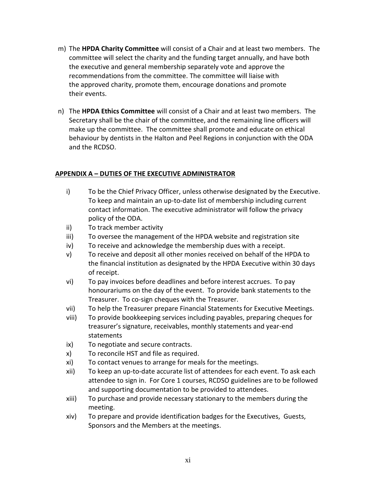- m) The **HPDA Charity Committee** will consist of a Chair and at least two members. The committee will select the charity and the funding target annually, and have both the executive and general membership separately vote and approve the recommendations from the committee. The committee will liaise with the approved charity, promote them, encourage donations and promote their events.
- n) The **HPDA Ethics Committee** will consist of a Chair and at least two members. The Secretary shall be the chair of the committee, and the remaining line officers will make up the committee. The committee shall promote and educate on ethical behaviour by dentists in the Halton and Peel Regions in conjunction with the ODA and the RCDSO.

## **APPENDIX A – DUTIES OF THE EXECUTIVE ADMINISTRATOR**

- i) To be the Chief Privacy Officer, unless otherwise designated by the Executive. To keep and maintain an up-to-date list of membership including current contact information. The executive administrator will follow the privacy policy of the ODA.
- ii) To track member activity
- iii) To oversee the management of the HPDA website and registration site
- iv) To receive and acknowledge the membership dues with a receipt.
- v) To receive and deposit all other monies received on behalf of the HPDA to the financial institution as designated by the HPDA Executive within 30 days of receipt.
- vi) To pay invoices before deadlines and before interest accrues. To pay honourariums on the day of the event. To provide bank statements to the Treasurer. To co-sign cheques with the Treasurer.
- vii) To help the Treasurer prepare Financial Statements for Executive Meetings.
- viii) To provide bookkeeping services including payables, preparing cheques for treasurer's signature, receivables, monthly statements and year-end statements
- ix) To negotiate and secure contracts.
- x) To reconcile HST and file as required.
- xi) To contact venues to arrange for meals for the meetings.
- xii) To keep an up-to-date accurate list of attendees for each event. To ask each attendee to sign in. For Core 1 courses, RCDSO guidelines are to be followed and supporting documentation to be provided to attendees.
- xiii) To purchase and provide necessary stationary to the members during the meeting.
- xiv) To prepare and provide identification badges for the Executives, Guests, Sponsors and the Members at the meetings.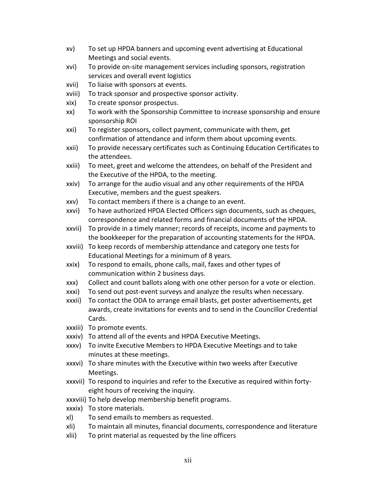- xv) To set up HPDA banners and upcoming event advertising at Educational Meetings and social events.
- xvi) To provide on-site management services including sponsors, registration services and overall event logistics
- xvii) To liaise with sponsors at events.
- xviii) To track sponsor and prospective sponsor activity.
- xix) To create sponsor prospectus.
- xx) To work with the Sponsorship Committee to increase sponsorship and ensure sponsorship ROI
- xxi) To register sponsors, collect payment, communicate with them, get confirmation of attendance and inform them about upcoming events.
- xxii) To provide necessary certificates such as Continuing Education Certificates to the attendees.
- xxiii) To meet, greet and welcome the attendees, on behalf of the President and the Executive of the HPDA, to the meeting.
- xxiv) To arrange for the audio visual and any other requirements of the HPDA Executive, members and the guest speakers.
- xxv) To contact members if there is a change to an event.
- xxvi) To have authorized HPDA Elected Officers sign documents, such as cheques, correspondence and related forms and financial documents of the HPDA.
- xxvii) To provide in a timely manner; records of receipts, income and payments to the bookkeeper for the preparation of accounting statements for the HPDA.
- xxviii) To keep records of membership attendance and category one tests for Educational Meetings for a minimum of 8 years.
- xxix) To respond to emails, phone calls, mail, faxes and other types of communication within 2 business days.
- xxx) Collect and count ballots along with one other person for a vote or election.
- xxxi) To send out post-event surveys and analyze the results when necessary.
- xxxii) To contact the ODA to arrange email blasts, get poster advertisements, get awards, create invitations for events and to send in the Councillor Credential Cards.
- xxxiii) To promote events.
- xxxiv) To attend all of the events and HPDA Executive Meetings.
- xxxv) To invite Executive Members to HPDA Executive Meetings and to take minutes at these meetings.
- xxxvi) To share minutes with the Executive within two weeks after Executive Meetings.
- xxxvii) To respond to inquiries and refer to the Executive as required within fortyeight hours of receiving the inquiry.
- xxxviii) To help develop membership benefit programs.
- xxxix) To store materials.
- xl) To send emails to members as requested.
- xli) To maintain all minutes, financial documents, correspondence and literature
- xlii) To print material as requested by the line officers